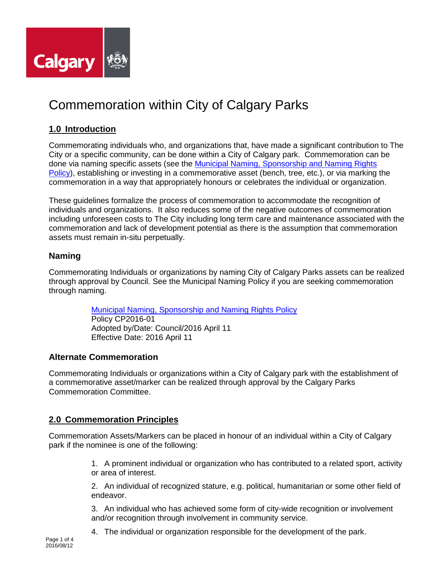

# Commemoration within City of Calgary Parks

# **1.0 Introduction**

Commemorating individuals who, and organizations that, have made a significant contribution to The City or a specific community, can be done within a City of Calgary park. Commemoration can be done via naming specific assets (see the [Municipal Naming, Sponsorship and Naming Rights](http://www.calgary.ca/CA/city-clerks/Documents/Council-policy-library/CP2016-01-Municipal-Naming-Sponsorship-and-Naming-Rights.pdf)  [Policy\)](http://www.calgary.ca/CA/city-clerks/Documents/Council-policy-library/CP2016-01-Municipal-Naming-Sponsorship-and-Naming-Rights.pdf), establishing or investing in a commemorative asset (bench, tree, etc.), or via marking the commemoration in a way that appropriately honours or celebrates the individual or organization.

These guidelines formalize the process of commemoration to accommodate the recognition of individuals and organizations. It also reduces some of the negative outcomes of commemoration including unforeseen costs to The City including long term care and maintenance associated with the commemoration and lack of development potential as there is the assumption that commemoration assets must remain in-situ perpetually.

## **Naming**

Commemorating Individuals or organizations by naming City of Calgary Parks assets can be realized through approval by Council. See the Municipal Naming Policy if you are seeking commemoration through naming.

> [Municipal Naming, Sponsorship and Naming Rights Policy](http://www.calgary.ca/CA/city-clerks/Documents/Council-policy-library/CP2016-01-Municipal-Naming-Sponsorship-and-Naming-Rights.pdf) Policy CP2016-01 Adopted by/Date: Council/2016 April 11 Effective Date: 2016 April 11

#### **Alternate Commemoration**

Commemorating Individuals or organizations within a City of Calgary park with the establishment of a commemorative asset/marker can be realized through approval by the Calgary Parks Commemoration Committee.

## **2.0 Commemoration Principles**

Commemoration Assets/Markers can be placed in honour of an individual within a City of Calgary park if the nominee is one of the following:

> 1. A prominent individual or organization who has contributed to a related sport, activity or area of interest.

> 2. An individual of recognized stature, e.g. political, humanitarian or some other field of endeavor.

3. An individual who has achieved some form of city-wide recognition or involvement and/or recognition through involvement in community service.

4. The individual or organization responsible for the development of the park.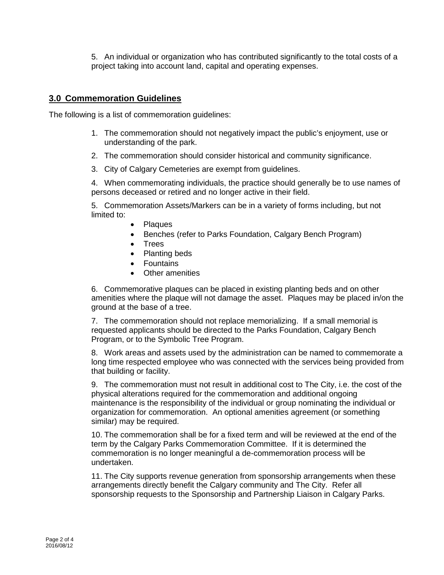5. An individual or organization who has contributed significantly to the total costs of a project taking into account land, capital and operating expenses.

#### **3.0 Commemoration Guidelines**

The following is a list of commemoration guidelines:

- 1. The commemoration should not negatively impact the public's enjoyment, use or understanding of the park.
- 2. The commemoration should consider historical and community significance.
- 3. City of Calgary Cemeteries are exempt from guidelines.

4. When commemorating individuals, the practice should generally be to use names of persons deceased or retired and no longer active in their field.

5. Commemoration Assets/Markers can be in a variety of forms including, but not limited to:

- Plaques
- Benches (refer to Parks Foundation, Calgary Bench Program)
- Trees
- Planting beds
- Fountains
- Other amenities

6. Commemorative plaques can be placed in existing planting beds and on other amenities where the plaque will not damage the asset. Plaques may be placed in/on the ground at the base of a tree.

7. The commemoration should not replace memorializing. If a small memorial is requested applicants should be directed to the Parks Foundation, Calgary Bench Program, or to the Symbolic Tree Program.

8. Work areas and assets used by the administration can be named to commemorate a long time respected employee who was connected with the services being provided from that building or facility.

9. The commemoration must not result in additional cost to The City, i.e. the cost of the physical alterations required for the commemoration and additional ongoing maintenance is the responsibility of the individual or group nominating the individual or organization for commemoration. An optional amenities agreement (or something similar) may be required.

10. The commemoration shall be for a fixed term and will be reviewed at the end of the term by the Calgary Parks Commemoration Committee. If it is determined the commemoration is no longer meaningful a de-commemoration process will be undertaken.

11. The City supports revenue generation from sponsorship arrangements when these arrangements directly benefit the Calgary community and The City. Refer all sponsorship requests to the Sponsorship and Partnership Liaison in Calgary Parks.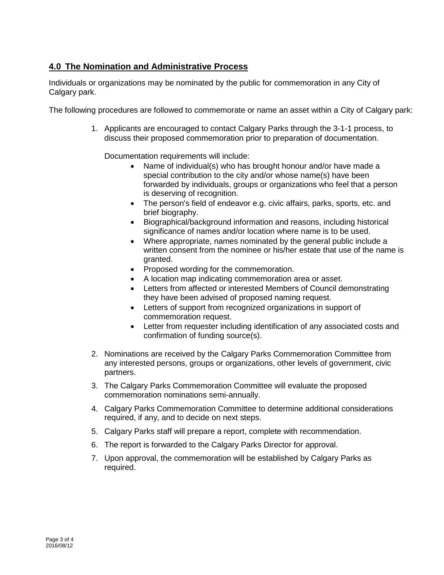## **4.0 The Nomination and Administrative Process**

Individuals or organizations may be nominated by the public for commemoration in any City of Calgary park.

The following procedures are followed to commemorate or name an asset within a City of Calgary park:

1. Applicants are encouraged to contact Calgary Parks through the 3-1-1 process, to discuss their proposed commemoration prior to preparation of documentation.

Documentation requirements will include:

- Name of individual(s) who has brought honour and/or have made a special contribution to the city and/or whose name(s) have been forwarded by individuals, groups or organizations who feel that a person is deserving of recognition.
- The person's field of endeavor e.g. civic affairs, parks, sports, etc. and brief biography.
- Biographical/background information and reasons, including historical significance of names and/or location where name is to be used.
- Where appropriate, names nominated by the general public include a written consent from the nominee or his/her estate that use of the name is granted.
- Proposed wording for the commemoration.
- A location map indicating commemoration area or asset.
- Letters from affected or interested Members of Council demonstrating they have been advised of proposed naming request.
- Letters of support from recognized organizations in support of commemoration request.
- Letter from requester including identification of any associated costs and confirmation of funding source(s).
- 2. Nominations are received by the Calgary Parks Commemoration Committee from any interested persons, groups or organizations, other levels of government, civic partners.
- 3. The Calgary Parks Commemoration Committee will evaluate the proposed commemoration nominations semi-annually.
- 4. Calgary Parks Commemoration Committee to determine additional considerations required, if any, and to decide on next steps.
- 5. Calgary Parks staff will prepare a report, complete with recommendation.
- 6. The report is forwarded to the Calgary Parks Director for approval.
- 7. Upon approval, the commemoration will be established by Calgary Parks as required.